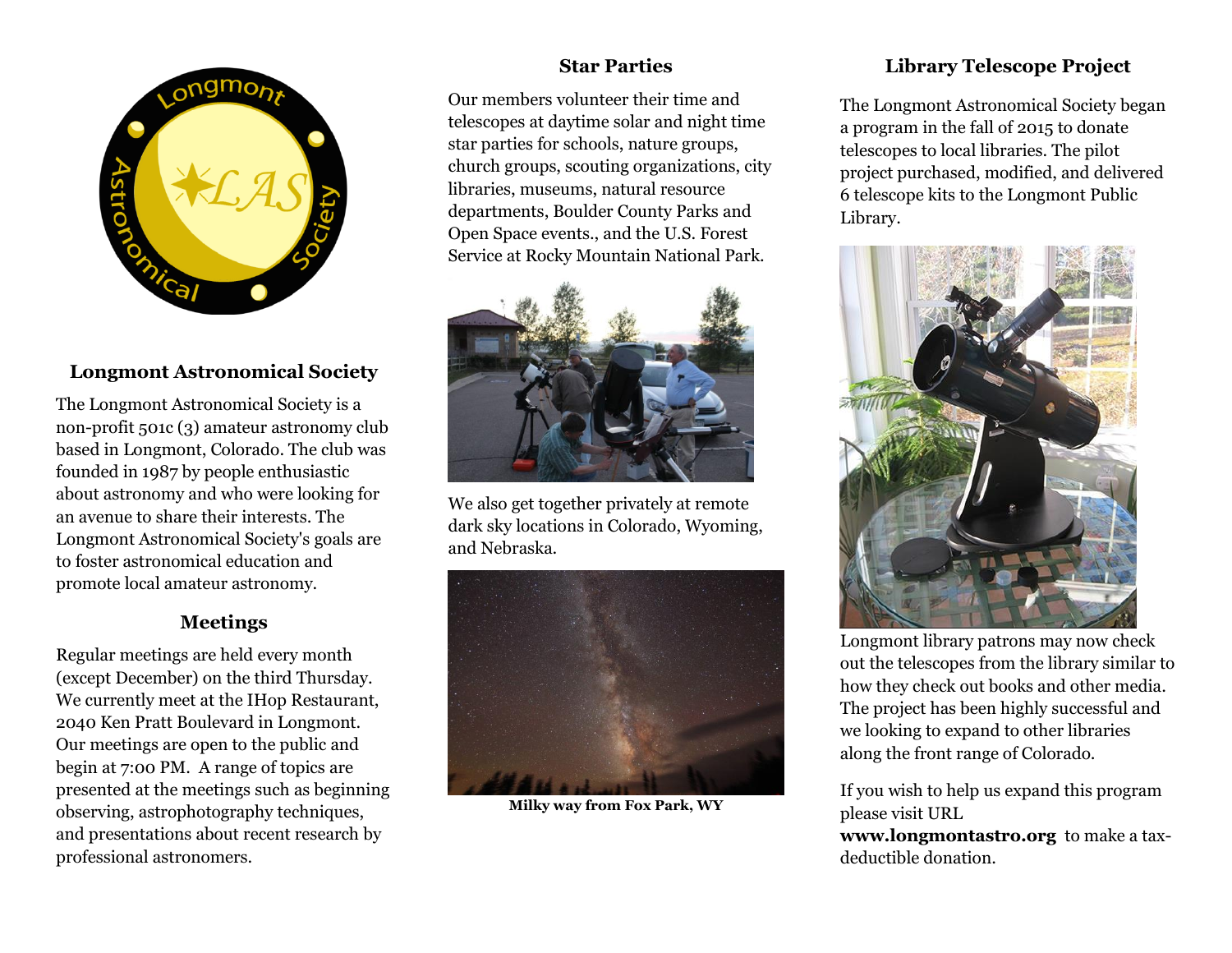

# **Longmont Astronomical Society**

The Longmont Astronomical Society is a non-profit 501c (3) amateur astronomy club based in Longmont, Colorado. The club was founded in 1987 by people enthusiastic about astronomy and who were looking for an avenue to share their interests. The Longmont Astronomical Society's goals are to foster astronomical education and promote local amateur astronomy.

### **Meetings**

Regular meetings are held every month (except December) on the third Thursday. We currently meet at the IHop Restaurant, 2040 Ken Pratt Boulevard in Longmont. Our meetings are open to the public and begin at 7:00 PM. A range of topics are presented at the meetings such as beginning observing, astrophotography techniques, and presentations about recent research by professional astronomers.

# **Star Parties**

Our members volunteer their time and telescopes at daytime solar and night time star parties for schools, nature groups, church groups, scouting organizations, city libraries, museums, natural resource departments, Boulder County Parks and Open Space events., and the U.S. Forest Service at Rocky Mountain National Park.



We also get together privately at remote dark sky locations in Colorado, Wyoming, and Nebraska.



**Milky way from Fox Park, WY**

# **Library Telescope Project**

The Longmont Astronomical Society began a program in the fall of 2015 to donate telescopes to local libraries. The pilot project purchased, modified, and delivered 6 telescope kits to the Longmont Public Library.



Longmont library patrons may now check out the telescopes from the library similar to how they check out books and other media. The project has been highly successful and we looking to expand to other libraries along the front range of Colorado.

If you wish to help us expand this program please visit URL

**www.longmontastro.org** to make a taxdeductible donation.